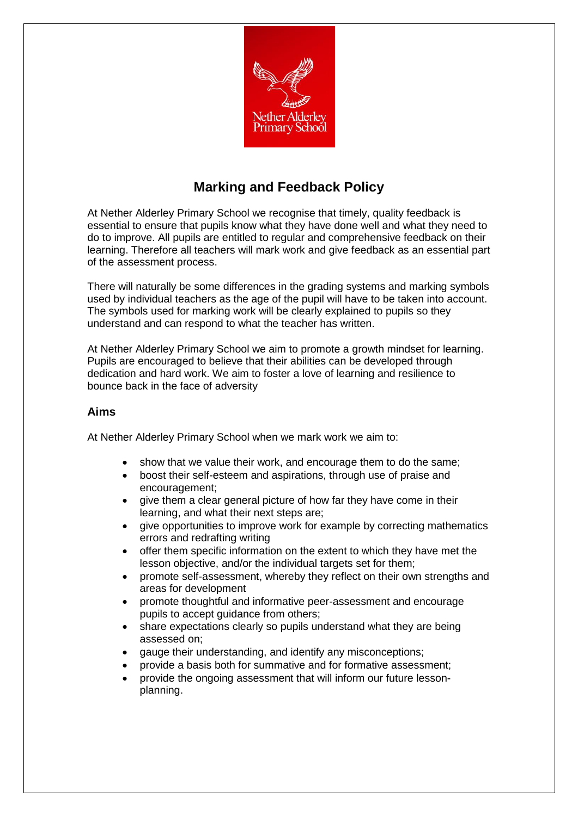

## **Marking and Feedback Policy**

At Nether Alderley Primary School we recognise that timely, quality feedback is essential to ensure that pupils know what they have done well and what they need to do to improve. All pupils are entitled to regular and comprehensive feedback on their learning. Therefore all teachers will mark work and give feedback as an essential part of the assessment process.

There will naturally be some differences in the grading systems and marking symbols used by individual teachers as the age of the pupil will have to be taken into account. The symbols used for marking work will be clearly explained to pupils so they understand and can respond to what the teacher has written.

At Nether Alderley Primary School we aim to promote a growth mindset for learning. Pupils are encouraged to believe that their abilities can be developed through dedication and hard work. We aim to foster a love of learning and resilience to bounce back in the face of adversity

## **Aims**

At Nether Alderley Primary School when we mark work we aim to:

- show that we value their work, and encourage them to do the same;
- boost their self-esteem and aspirations, through use of praise and encouragement;
- give them a clear general picture of how far they have come in their learning, and what their next steps are;
- give opportunities to improve work for example by correcting mathematics errors and redrafting writing
- offer them specific information on the extent to which they have met the lesson objective, and/or the individual targets set for them;
- promote self-assessment, whereby they reflect on their own strengths and areas for development
- promote thoughtful and informative peer-assessment and encourage pupils to accept guidance from others;
- share expectations clearly so pupils understand what they are being assessed on;
- gauge their understanding, and identify any misconceptions;
- provide a basis both for summative and for formative assessment;
- provide the ongoing assessment that will inform our future lessonplanning.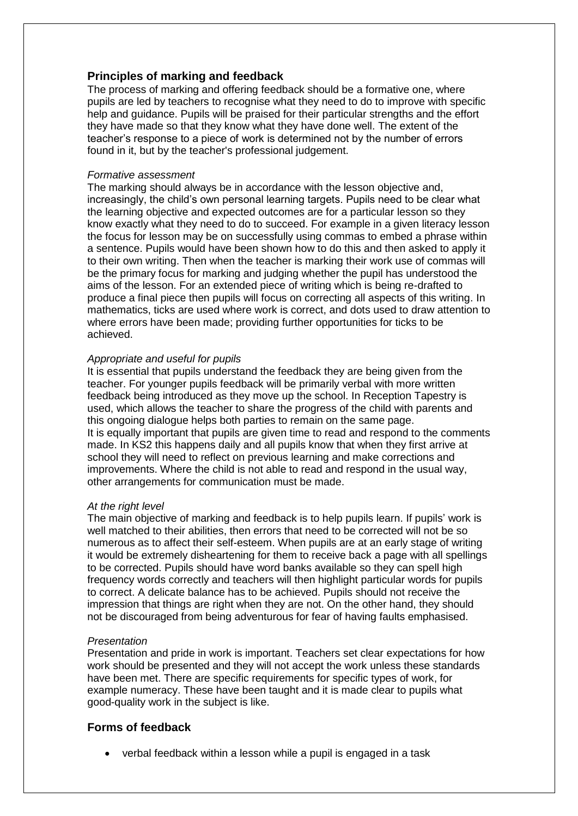## **Principles of marking and feedback**

The process of marking and offering feedback should be a formative one, where pupils are led by teachers to recognise what they need to do to improve with specific help and guidance. Pupils will be praised for their particular strengths and the effort they have made so that they know what they have done well. The extent of the teacher's response to a piece of work is determined not by the number of errors found in it, but by the teacher's professional judgement.

#### *Formative assessment*

The marking should always be in accordance with the lesson objective and, increasingly, the child's own personal learning targets. Pupils need to be clear what the learning objective and expected outcomes are for a particular lesson so they know exactly what they need to do to succeed. For example in a given literacy lesson the focus for lesson may be on successfully using commas to embed a phrase within a sentence. Pupils would have been shown how to do this and then asked to apply it to their own writing. Then when the teacher is marking their work use of commas will be the primary focus for marking and judging whether the pupil has understood the aims of the lesson. For an extended piece of writing which is being re-drafted to produce a final piece then pupils will focus on correcting all aspects of this writing. In mathematics, ticks are used where work is correct, and dots used to draw attention to where errors have been made; providing further opportunities for ticks to be achieved.

#### *Appropriate and useful for pupils*

It is essential that pupils understand the feedback they are being given from the teacher. For younger pupils feedback will be primarily verbal with more written feedback being introduced as they move up the school. In Reception Tapestry is used, which allows the teacher to share the progress of the child with parents and this ongoing dialogue helps both parties to remain on the same page. It is equally important that pupils are given time to read and respond to the comments made. In KS2 this happens daily and all pupils know that when they first arrive at school they will need to reflect on previous learning and make corrections and improvements. Where the child is not able to read and respond in the usual way, other arrangements for communication must be made.

#### *At the right level*

The main objective of marking and feedback is to help pupils learn. If pupils' work is well matched to their abilities, then errors that need to be corrected will not be so numerous as to affect their self-esteem. When pupils are at an early stage of writing it would be extremely disheartening for them to receive back a page with all spellings to be corrected. Pupils should have word banks available so they can spell high frequency words correctly and teachers will then highlight particular words for pupils to correct. A delicate balance has to be achieved. Pupils should not receive the impression that things are right when they are not. On the other hand, they should not be discouraged from being adventurous for fear of having faults emphasised.

#### *Presentation*

Presentation and pride in work is important. Teachers set clear expectations for how work should be presented and they will not accept the work unless these standards have been met. There are specific requirements for specific types of work, for example numeracy. These have been taught and it is made clear to pupils what good-quality work in the subject is like.

## **Forms of feedback**

• verbal feedback within a lesson while a pupil is engaged in a task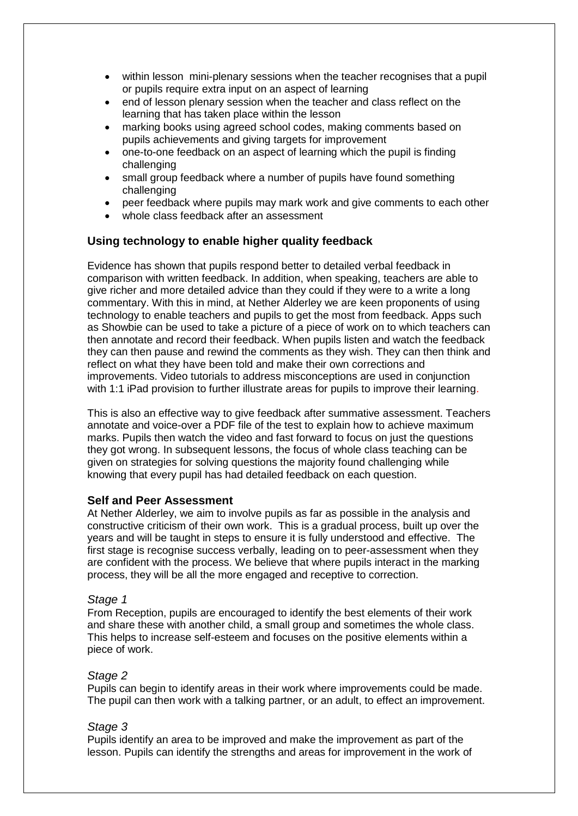- within lesson mini-plenary sessions when the teacher recognises that a pupil or pupils require extra input on an aspect of learning
- end of lesson plenary session when the teacher and class reflect on the learning that has taken place within the lesson
- marking books using agreed school codes, making comments based on pupils achievements and giving targets for improvement
- one-to-one feedback on an aspect of learning which the pupil is finding challenging
- small group feedback where a number of pupils have found something challenging
- peer feedback where pupils may mark work and give comments to each other
- whole class feedback after an assessment

## **Using technology to enable higher quality feedback**

Evidence has shown that pupils respond better to detailed verbal feedback in comparison with written feedback. In addition, when speaking, teachers are able to give richer and more detailed advice than they could if they were to a write a long commentary. With this in mind, at Nether Alderley we are keen proponents of using technology to enable teachers and pupils to get the most from feedback. Apps such as Showbie can be used to take a picture of a piece of work on to which teachers can then annotate and record their feedback. When pupils listen and watch the feedback they can then pause and rewind the comments as they wish. They can then think and reflect on what they have been told and make their own corrections and improvements. Video tutorials to address misconceptions are used in conjunction with 1:1 iPad provision to further illustrate areas for pupils to improve their learning.

This is also an effective way to give feedback after summative assessment. Teachers annotate and voice-over a PDF file of the test to explain how to achieve maximum marks. Pupils then watch the video and fast forward to focus on just the questions they got wrong. In subsequent lessons, the focus of whole class teaching can be given on strategies for solving questions the majority found challenging while knowing that every pupil has had detailed feedback on each question.

#### **Self and Peer Assessment**

At Nether Alderley, we aim to involve pupils as far as possible in the analysis and constructive criticism of their own work. This is a gradual process, built up over the years and will be taught in steps to ensure it is fully understood and effective. The first stage is recognise success verbally, leading on to peer-assessment when they are confident with the process. We believe that where pupils interact in the marking process, they will be all the more engaged and receptive to correction.

#### *Stage 1*

From Reception, pupils are encouraged to identify the best elements of their work and share these with another child, a small group and sometimes the whole class. This helps to increase self-esteem and focuses on the positive elements within a piece of work.

#### *Stage 2*

Pupils can begin to identify areas in their work where improvements could be made. The pupil can then work with a talking partner, or an adult, to effect an improvement.

#### *Stage 3*

Pupils identify an area to be improved and make the improvement as part of the lesson. Pupils can identify the strengths and areas for improvement in the work of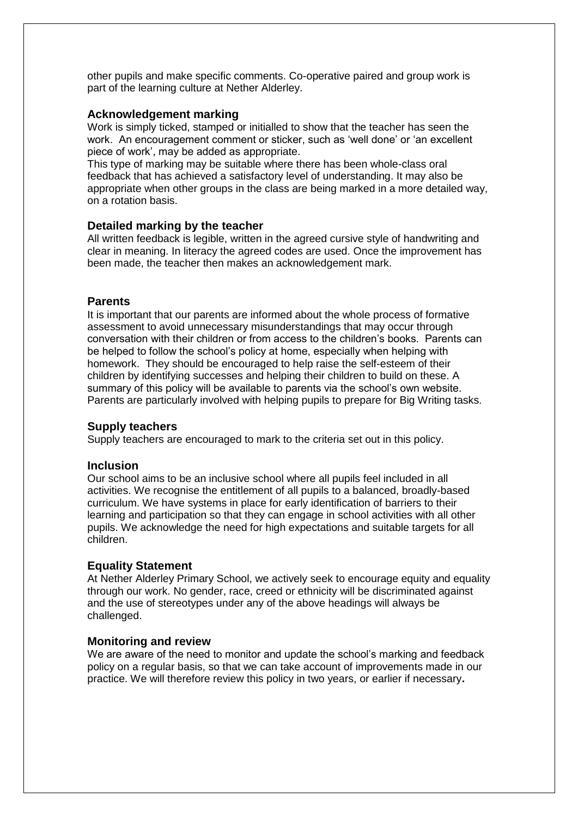other pupils and make specific comments. Co-operative paired and group work is part of the learning culture at Nether Alderley.

#### **Acknowledgement marking**

Work is simply ticked, stamped or initialled to show that the teacher has seen the work. An encouragement comment or sticker, such as 'well done' or 'an excellent piece of work', may be added as appropriate.

This type of marking may be suitable where there has been whole-class oral feedback that has achieved a satisfactory level of understanding. It may also be appropriate when other groups in the class are being marked in a more detailed way, on a rotation basis.

#### **Detailed marking by the teacher**

All written feedback is legible, written in the agreed cursive style of handwriting and clear in meaning. In literacy the agreed codes are used. Once the improvement has been made, the teacher then makes an acknowledgement mark.

#### **Parents**

It is important that our parents are informed about the whole process of formative assessment to avoid unnecessary misunderstandings that may occur through conversation with their children or from access to the children's books. Parents can be helped to follow the school's policy at home, especially when helping with homework. They should be encouraged to help raise the self-esteem of their children by identifying successes and helping their children to build on these. A summary of this policy will be available to parents via the school's own website. Parents are particularly involved with helping pupils to prepare for Big Writing tasks.

#### **Supply teachers**

Supply teachers are encouraged to mark to the criteria set out in this policy.

#### **Inclusion**

Our school aims to be an inclusive school where all pupils feel included in all activities. We recognise the entitlement of all pupils to a balanced, broadly-based curriculum. We have systems in place for early identification of barriers to their learning and participation so that they can engage in school activities with all other pupils. We acknowledge the need for high expectations and suitable targets for all children.

#### **Equality Statement**

At Nether Alderley Primary School, we actively seek to encourage equity and equality through our work. No gender, race, creed or ethnicity will be discriminated against and the use of stereotypes under any of the above headings will always be challenged.

#### **Monitoring and review**

We are aware of the need to monitor and update the school's marking and feedback policy on a regular basis, so that we can take account of improvements made in our practice. We will therefore review this policy in two years, or earlier if necessary**.**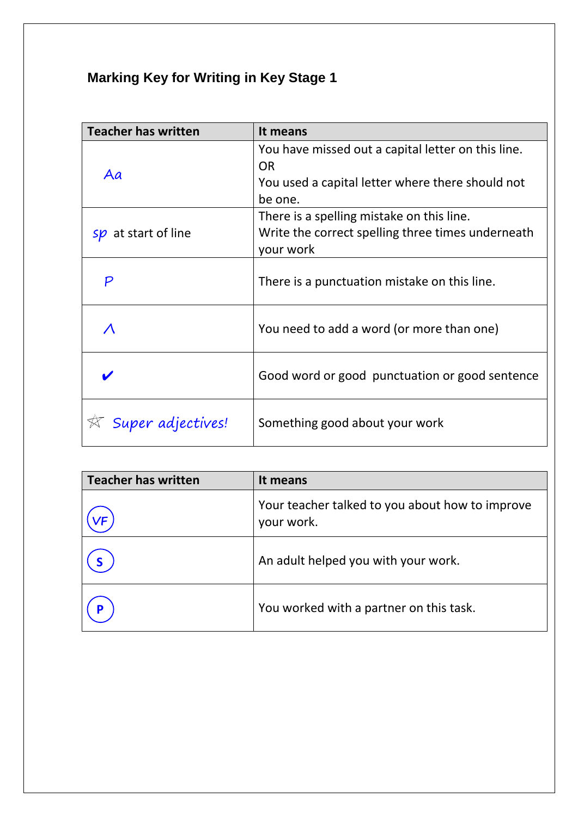# **Marking Key for Writing in Key Stage 1**

| <b>Teacher has written</b> | It means                                                        |
|----------------------------|-----------------------------------------------------------------|
| Aa                         | You have missed out a capital letter on this line.<br><b>OR</b> |
|                            | You used a capital letter where there should not<br>be one.     |
| at start of line<br>sp     | There is a spelling mistake on this line.                       |
|                            | Write the correct spelling three times underneath<br>your work  |
| P                          | There is a punctuation mistake on this line.                    |
|                            | You need to add a word (or more than one)                       |
|                            | Good word or good punctuation or good sentence                  |
| Super adjectives!          | Something good about your work                                  |

| <b>Teacher has written</b> | It means                                                      |
|----------------------------|---------------------------------------------------------------|
|                            | Your teacher talked to you about how to improve<br>your work. |
|                            | An adult helped you with your work.                           |
|                            | You worked with a partner on this task.                       |